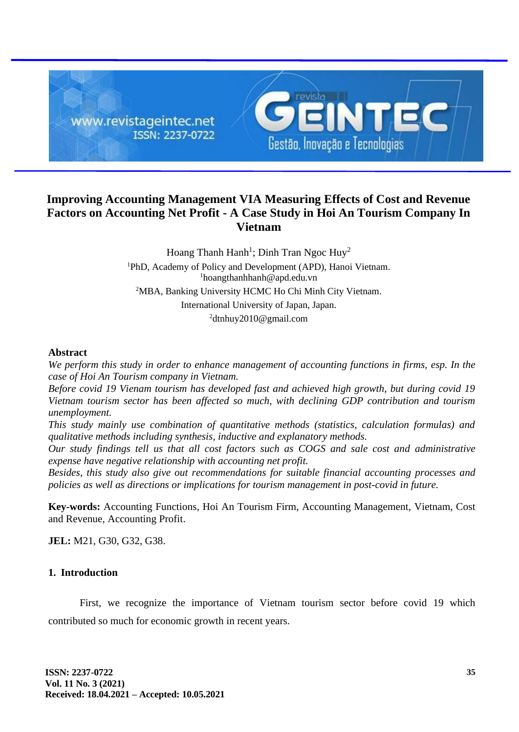

# **Improving Accounting Management VIA Measuring Effects of Cost and Revenue Factors on Accounting Net Profit - A Case Study in Hoi An Tourism Company In Vietnam**

Hoang Thanh Hanh<sup>1</sup>; Dinh Tran Ngoc Huy<sup>2</sup> PhD, Academy of Policy and Development (APD), Hanoi Vietnam. hoangthanhhanh@apd.edu.vn MBA, Banking University HCMC Ho Chi Minh City Vietnam. International University of Japan, Japan. dtnhuy2010@gmail.com

#### **Abstract**

*We perform this study in order to enhance management of accounting functions in firms, esp. In the case of Hoi An Tourism company in Vietnam.* 

*Before covid 19 Vienam tourism has developed fast and achieved high growth, but during covid 19 Vietnam tourism sector has been affected so much, with declining GDP contribution and tourism unemployment.*

*This study mainly use combination of quantitative methods (statistics, calculation formulas) and qualitative methods including synthesis, inductive and explanatory methods.* 

*Our study findings tell us that all cost factors such as COGS and sale cost and administrative expense have negative relationship with accounting net profit.*

*Besides, this study also give out recommendations for suitable financial accounting processes and policies as well as directions or implications for tourism management in post-covid in future.*

**Key-words:** Accounting Functions, Hoi An Tourism Firm, Accounting Management, Vietnam, Cost and Revenue, Accounting Profit.

**JEL:** M21, G30, G32, G38.

#### **1. Introduction**

First, we recognize the importance of Vietnam tourism sector before covid 19 which contributed so much for economic growth in recent years.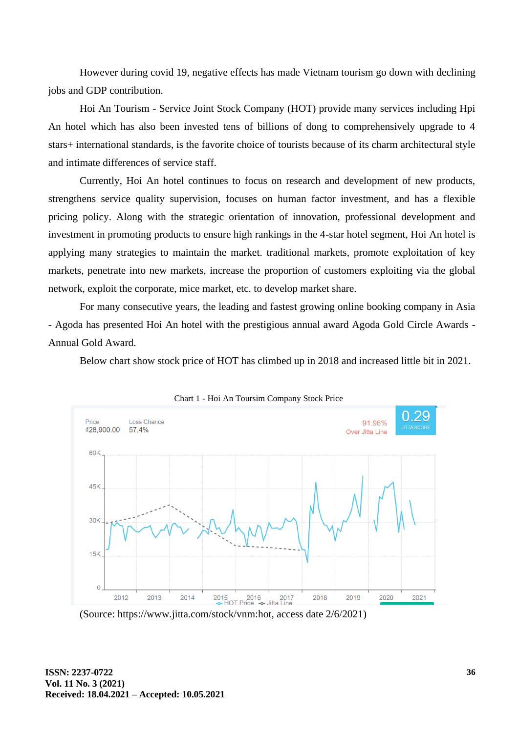However during covid 19, negative effects has made Vietnam tourism go down with declining jobs and GDP contribution.

Hoi An Tourism - Service Joint Stock Company (HOT) provide many services including Hpi An hotel which has also been invested tens of billions of dong to comprehensively upgrade to 4 stars+ international standards, is the favorite choice of tourists because of its charm architectural style and intimate differences of service staff.

Currently, Hoi An hotel continues to focus on research and development of new products, strengthens service quality supervision, focuses on human factor investment, and has a flexible pricing policy. Along with the strategic orientation of innovation, professional development and investment in promoting products to ensure high rankings in the 4-star hotel segment, Hoi An hotel is applying many strategies to maintain the market. traditional markets, promote exploitation of key markets, penetrate into new markets, increase the proportion of customers exploiting via the global network, exploit the corporate, mice market, etc. to develop market share.

For many consecutive years, the leading and fastest growing online booking company in Asia - Agoda has presented Hoi An hotel with the prestigious annual award Agoda Gold Circle Awards - Annual Gold Award.

Below chart show stock price of HOT has climbed up in 2018 and increased little bit in 2021.





<sup>(</sup>Source: https://www.jitta.com/stock/vnm:hot, access date 2/6/2021)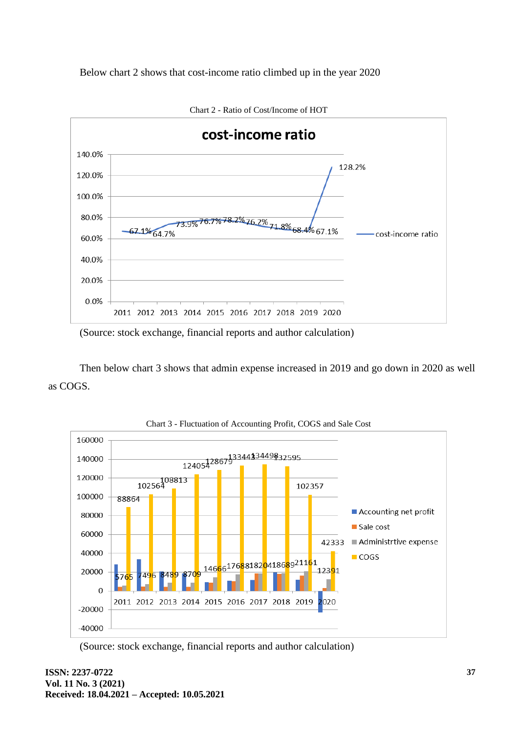



(Source: stock exchange, financial reports and author calculation)

Then below chart 3 shows that admin expense increased in 2019 and go down in 2020 as well as COGS.



Chart 3 - Fluctuation of Accounting Profit, COGS and Sale Cost

(Source: stock exchange, financial reports and author calculation)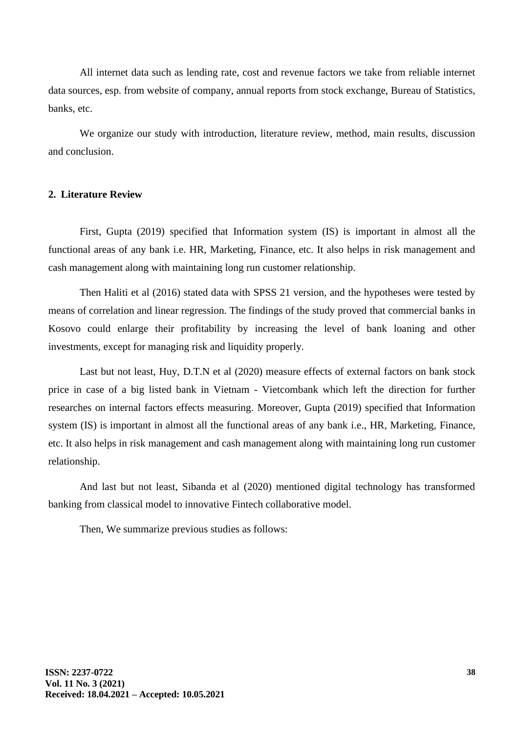All internet data such as lending rate, cost and revenue factors we take from reliable internet data sources, esp. from website of company, annual reports from stock exchange, Bureau of Statistics, banks, etc.

We organize our study with introduction, literature review, method, main results, discussion and conclusion.

#### **2. Literature Review**

First, Gupta (2019) specified that Information system (IS) is important in almost all the functional areas of any bank i.e. HR, Marketing, Finance, etc. It also helps in risk management and cash management along with maintaining long run customer relationship.

Then Haliti et al (2016) stated data with SPSS 21 version, and the hypotheses were tested by means of correlation and linear regression. The findings of the study proved that commercial banks in Kosovo could enlarge their profitability by increasing the level of bank loaning and other investments, except for managing risk and liquidity properly.

Last but not least, Huy, D.T.N et al (2020) measure effects of external factors on bank stock price in case of a big listed bank in Vietnam - Vietcombank which left the direction for further researches on internal factors effects measuring. Moreover, Gupta (2019) specified that Information system (IS) is important in almost all the functional areas of any bank i.e., HR, Marketing, Finance, etc. It also helps in risk management and cash management along with maintaining long run customer relationship.

And last but not least, Sibanda et al (2020) mentioned digital technology has transformed banking from classical model to innovative Fintech collaborative model.

Then, We summarize previous studies as follows: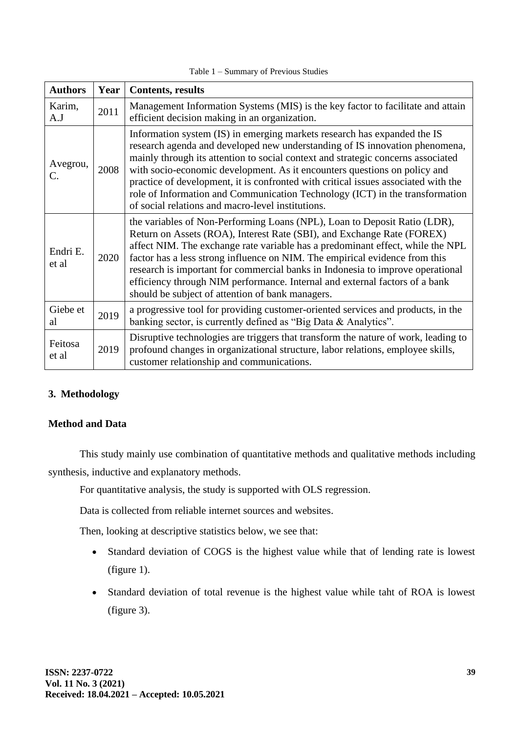| Table $1 -$ Summary of Previous Studies |  |
|-----------------------------------------|--|
|-----------------------------------------|--|

| <b>Authors</b>    | Year | <b>Contents, results</b>                                                                                                                                                                                                                                                                                                                                                                                                                                                                                                                            |
|-------------------|------|-----------------------------------------------------------------------------------------------------------------------------------------------------------------------------------------------------------------------------------------------------------------------------------------------------------------------------------------------------------------------------------------------------------------------------------------------------------------------------------------------------------------------------------------------------|
| Karim,<br>A.J     | 2011 | Management Information Systems (MIS) is the key factor to facilitate and attain<br>efficient decision making in an organization.                                                                                                                                                                                                                                                                                                                                                                                                                    |
| Avegrou,<br>C.    | 2008 | Information system (IS) in emerging markets research has expanded the IS<br>research agenda and developed new understanding of IS innovation phenomena,<br>mainly through its attention to social context and strategic concerns associated<br>with socio-economic development. As it encounters questions on policy and<br>practice of development, it is confronted with critical issues associated with the<br>role of Information and Communication Technology (ICT) in the transformation<br>of social relations and macro-level institutions. |
| Endri E.<br>et al | 2020 | the variables of Non-Performing Loans (NPL), Loan to Deposit Ratio (LDR),<br>Return on Assets (ROA), Interest Rate (SBI), and Exchange Rate (FOREX)<br>affect NIM. The exchange rate variable has a predominant effect, while the NPL<br>factor has a less strong influence on NIM. The empirical evidence from this<br>research is important for commercial banks in Indonesia to improve operational<br>efficiency through NIM performance. Internal and external factors of a bank<br>should be subject of attention of bank managers.           |
| Giebe et<br>al    | 2019 | a progressive tool for providing customer-oriented services and products, in the<br>banking sector, is currently defined as "Big Data & Analytics".                                                                                                                                                                                                                                                                                                                                                                                                 |
| Feitosa<br>et al  | 2019 | Disruptive technologies are triggers that transform the nature of work, leading to<br>profound changes in organizational structure, labor relations, employee skills,<br>customer relationship and communications.                                                                                                                                                                                                                                                                                                                                  |

# **3. Methodology**

# **Method and Data**

This study mainly use combination of quantitative methods and qualitative methods including synthesis, inductive and explanatory methods.

For quantitative analysis, the study is supported with OLS regression.

Data is collected from reliable internet sources and websites.

Then, looking at descriptive statistics below, we see that:

- Standard deviation of COGS is the highest value while that of lending rate is lowest (figure 1).
- Standard deviation of total revenue is the highest value while taht of ROA is lowest (figure 3).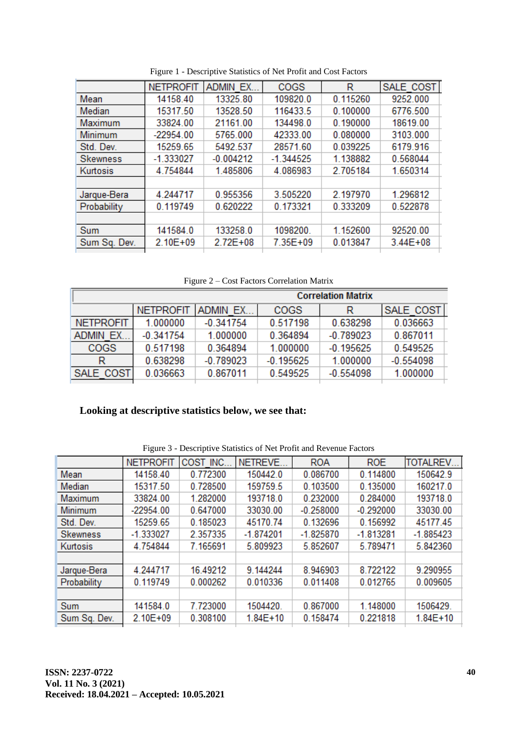|                 | <b>NETPROFIT</b> | <b>ADMIN EX.</b> | COGS        | R        | SALE COST    |
|-----------------|------------------|------------------|-------------|----------|--------------|
| Mean            | 14158.40         | 13325.80         | 109820.0    | 0.115260 | 9252.000     |
| Median          | 15317.50         | 13528.50         | 116433.5    | 0.100000 | 6776.500     |
| Maximum         | 33824.00         | 21161.00         | 134498.0    | 0.190000 | 18619.00     |
| Minimum         | $-22954.00$      | 5765.000         | 42333.00    | 0.080000 | 3103.000     |
| Std. Dev.       | 15259.65         | 5492.537         | 28571.60    | 0.039225 | 6179.916     |
| <b>Skewness</b> | $-1.333027$      | $-0.004212$      | $-1.344525$ | 1.138882 | 0.568044     |
| Kurtosis        | 4.754844         | 1.485806         | 4.086983    | 2.705184 | 1.650314     |
|                 |                  |                  |             |          |              |
| Jarque-Bera     | 4.244717         | 0.955356         | 3.505220    | 2.197970 | 1.296812     |
| Probability     | 0.119749         | 0.620222         | 0.173321    | 0.333209 | 0.522878     |
|                 |                  |                  |             |          |              |
| Sum             | 141584.0         | 133258.0         | 1098200.    | 1.152600 | 92520.00     |
| Sum Sq. Dev.    | 2.10E+09         | $2.72E + 08$     | 7.35E+09    | 0.013847 | $3.44E + 08$ |
|                 |                  |                  |             |          |              |

Figure 1 - Descriptive Statistics of Net Profit and Cost Factors

Figure 2 – Cost Factors Correlation Matrix

| <b>Correlation Matrix</b> |             |                  |             |             |  |  |  |  |
|---------------------------|-------------|------------------|-------------|-------------|--|--|--|--|
| <b>NETPROFIT</b>          |             | <b>COGS</b>      | R           | SALE COST   |  |  |  |  |
| 1.000000                  | $-0.341754$ | 0.517198         | 0.638298    | 0.036663    |  |  |  |  |
| $-0.341754$               | 1.000000    | 0.364894         | $-0.789023$ | 0.867011    |  |  |  |  |
| 0.517198                  | 0.364894    | 1.000000         | $-0.195625$ | 0.549525    |  |  |  |  |
| 0.638298                  | $-0.789023$ | $-0.195625$      | 1.000000    | $-0.554098$ |  |  |  |  |
| 0.036663<br>SALE COST     | 0.867011    | 0.549525         | $-0.554098$ | 1.000000    |  |  |  |  |
|                           |             | <b>ADMIN EX.</b> |             |             |  |  |  |  |

#### **Looking at descriptive statistics below, we see that:**

|                 | <b>NETPROFIT</b> | COST INC. | NETREVE.     | <b>ROA</b>  | <b>ROE</b>  | <b>TOTALREV.</b> |
|-----------------|------------------|-----------|--------------|-------------|-------------|------------------|
| Mean            | 14158.40         | 0.772300  | 150442.0     | 0.086700    | 0.114800    | 150642.9         |
| Median          | 15317.50         | 0.728500  | 159759.5     | 0.103500    | 0.135000    | 160217.0         |
| Maximum         | 33824.00         | 1.282000  | 193718.0     | 0.232000    | 0.284000    | 193718.0         |
| Minimum         | $-22954.00$      | 0.647000  | 33030.00     | $-0.258000$ | $-0.292000$ | 33030.00         |
| Std. Dev.       | 15259.65         | 0.185023  | 45170.74     | 0.132696    | 0.156992    | 45177.45         |
| <b>Skewness</b> | $-1.333027$      | 2.357335  | $-1.874201$  | $-1.825870$ | $-1.813281$ | $-1.885423$      |
| Kurtosis        | 4.754844         | 7.165691  | 5.809923     | 5.852607    | 5.789471    | 5.842360         |
|                 |                  |           |              |             |             |                  |
| Jarque-Bera     | 4.244717         | 16.49212  | 9.144244     | 8.946903    | 8.722122    | 9.290955         |
| Probability     | 0.119749         | 0.000262  | 0.010336     | 0.011408    | 0.012765    | 0.009605         |
|                 |                  |           |              |             |             |                  |
| Sum             | 141584.0         | 7.723000  | 1504420.     | 0.867000    | 1.148000    | 1506429.         |
| Sum Sq. Dev.    | 2.10E+09         | 0.308100  | $1.84E + 10$ | 0.158474    | 0.221818    | $1.84E + 10$     |

Figure 3 - Descriptive Statistics of Net Profit and Revenue Factors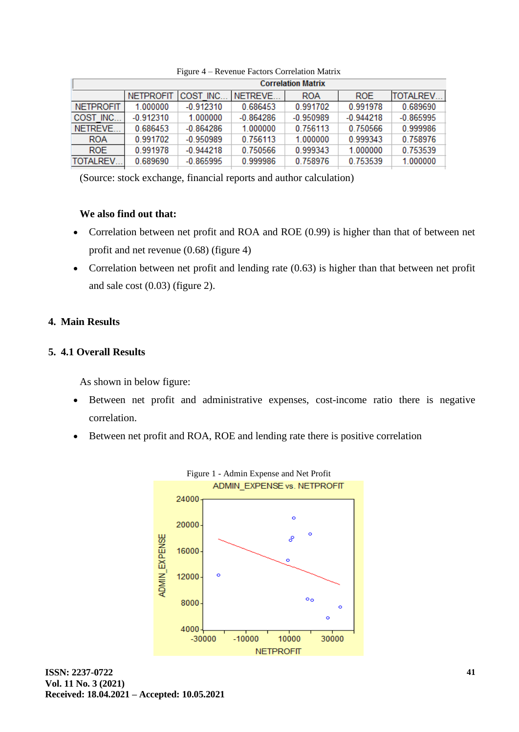|                  | <b>Correlation Matrix</b> |             |                 |             |             |                  |  |  |
|------------------|---------------------------|-------------|-----------------|-------------|-------------|------------------|--|--|
|                  | <b>NETPROFIT</b>          | COST INC.   | <b>INETREVE</b> | <b>ROA</b>  | <b>ROE</b>  | <b>TOTALREV.</b> |  |  |
| <b>NETPROFIT</b> | 1.000000                  | $-0.912310$ | 0.686453        | 0.991702    | 0.991978    | 0.689690         |  |  |
| COST INC         | $-0.912310$               | 1.000000    | $-0.864286$     | $-0.950989$ | $-0.944218$ | $-0.865995$      |  |  |
| NETREVE          | 0.686453                  | $-0.864286$ | 1.000000        | 0.756113    | 0.750566    | 0.999986         |  |  |
| <b>ROA</b>       | 0.991702                  | $-0.950989$ | 0.756113        | 1.000000    | 0.999343    | 0.758976         |  |  |
| <b>ROE</b>       | 0.991978                  | $-0.944218$ | 0.750566        | 0.999343    | 1.000000    | 0.753539         |  |  |
| <b>TOTALREV</b>  | 0.689690                  | $-0.865995$ | 0 999986        | 0.758976    | 0.753539    | 1.000000         |  |  |

Figure 4 – Revenue Factors Correlation Matrix

(Source: stock exchange, financial reports and author calculation)

### **We also find out that:**

- Correlation between net profit and ROA and ROE (0.99) is higher than that of between net profit and net revenue (0.68) (figure 4)
- Correlation between net profit and lending rate (0.63) is higher than that between net profit and sale cost (0.03) (figure 2).

# **4. Main Results**

# **5. 4.1 Overall Results**

As shown in below figure:

- Between net profit and administrative expenses, cost-income ratio there is negative correlation.
- Between net profit and ROA, ROE and lending rate there is positive correlation

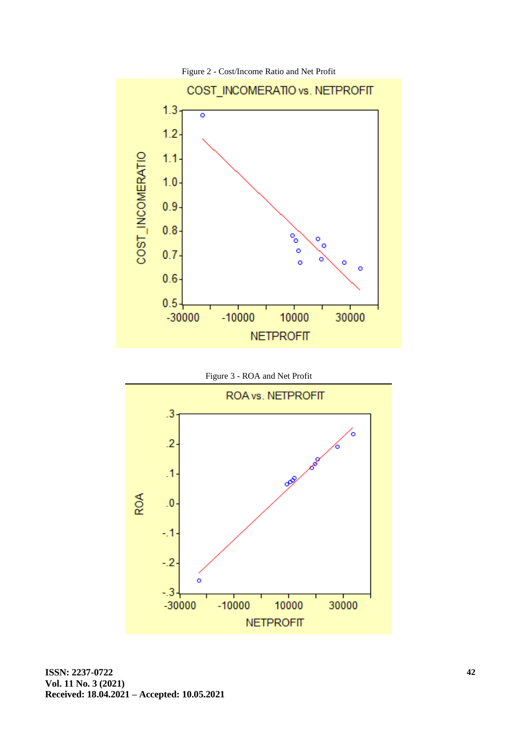

Figure 2 - Cost/Income Ratio and Net Profit



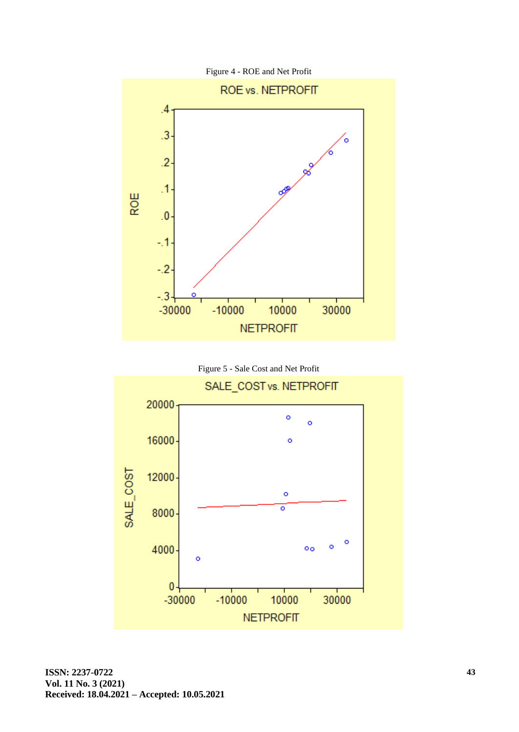

Figure 4 - ROE and Net Profit



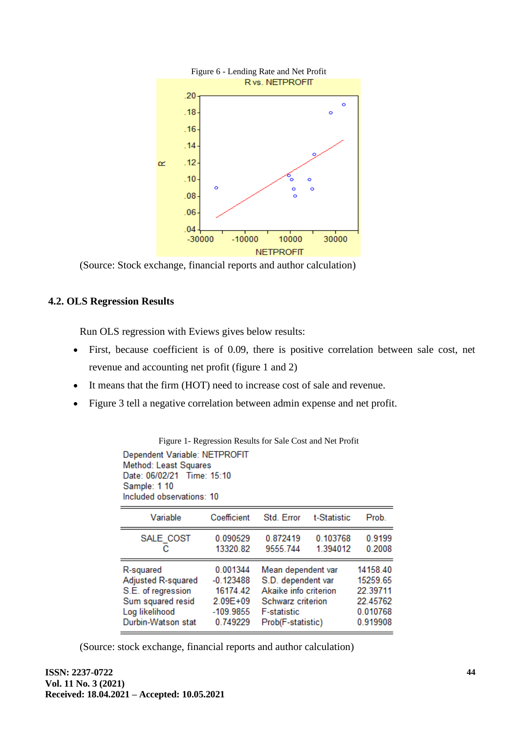

(Source: Stock exchange, financial reports and author calculation)

# **4.2. OLS Regression Results**

Run OLS regression with Eviews gives below results:

- First, because coefficient is of 0.09, there is positive correlation between sale cost, net revenue and accounting net profit (figure 1 and 2)
- It means that the firm (HOT) need to increase cost of sale and revenue.
- Figure 3 tell a negative correlation between admin expense and net profit.

| Figure 1- Regression Results for Sale Cost and Net Profit                                                                         |                                                                          |                                                                                                                                                                                                           |                      |                  |  |  |  |
|-----------------------------------------------------------------------------------------------------------------------------------|--------------------------------------------------------------------------|-----------------------------------------------------------------------------------------------------------------------------------------------------------------------------------------------------------|----------------------|------------------|--|--|--|
| Dependent Variable: NETPROFIT<br>Method: Least Squares<br>Date: 06/02/21 Time: 15:10<br>Sample: 1 10<br>Included observations: 10 |                                                                          |                                                                                                                                                                                                           |                      |                  |  |  |  |
| Variable                                                                                                                          | Coefficient                                                              | Std. Error                                                                                                                                                                                                | t-Statistic          | Prob.            |  |  |  |
| SALE COST<br>с                                                                                                                    | 0.090529<br>13320.82                                                     | 0.872419<br>9555.744                                                                                                                                                                                      | 0.103768<br>1.394012 | 0.9199<br>0.2008 |  |  |  |
| R-squared<br>Adjusted R-squared<br>S.E. of regression<br>Sum squared resid<br>Log likelihood<br>Durbin-Watson stat                | 0.001344<br>$-0.123488$<br>16174.42<br>2.09E+09<br>-109.9855<br>0.749229 | 14158.40<br>Mean dependent var<br>15259.65<br>S.D. dependent var<br>Akaike info criterion<br>22.39711<br>22.45762<br>Schwarz criterion<br>0.010768<br><b>F-statistic</b><br>Prob(F-statistic)<br>0.919908 |                      |                  |  |  |  |

(Source: stock exchange, financial reports and author calculation)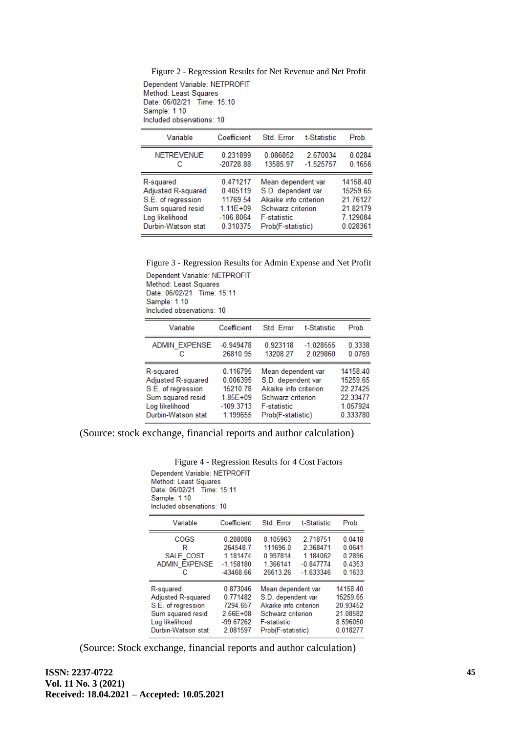Figure 2 - Regression Results for Net Revenue and Net Profit

Dependent Variable: NETPROFIT Method: Least Squares Date: 06/02/21 Time: 15:10 Sample: 1 10 Included observations: 10

| Variable           | Coefficient  | Std. Error            | t-Statistic | Prob.    |
|--------------------|--------------|-----------------------|-------------|----------|
| <b>NETREVENUE</b>  | 0.231899     | 0.086852              | 2.670034    | 0.0284   |
| с                  | $-20728.88$  | 13585.97              | $-1.525757$ | 0.1656   |
| R-squared          | 0.471217     | Mean dependent var    |             | 14158.40 |
| Adjusted R-squared | 0.405119     | S.D. dependent var    |             | 15259.65 |
| S.E. of regression | 11769.54     | Akaike info criterion |             | 21.76127 |
| Sum squared resid  | $1.11E + 09$ | Schwarz criterion     |             | 21.82179 |
| Log likelihood     | $-106.8064$  | <b>F-statistic</b>    |             | 7.129084 |
| Durbin-Watson stat | 0.310375     | Prob(F-statistic)     |             | 0.028361 |

Figure 3 - Regression Results for Admin Expense and Net Profit Dependent Variable: NETPROFIT Method: Least Squares Date: 06/02/21 Time: 15:11

Sample: 1 10 Included observations: 10

| Variable             | Coefficient  | Std. Error            | t-Statistic | Prob.    |
|----------------------|--------------|-----------------------|-------------|----------|
| <b>ADMIN EXPENSE</b> | $-0.949478$  | 0.923118              | $-1.028555$ | 0.3338   |
| c                    | 26810.95     | 13208.27              | 2.029860    | 0.0769   |
| R-squared            | 0.116795     | Mean dependent var    |             | 14158.40 |
| Adjusted R-squared   | 0.006395     | S.D. dependent var    |             | 15259.65 |
| S.E. of regression   | 15210.78     | Akaike info criterion |             | 22.27425 |
| Sum squared resid    | $1.85E + 09$ | Schwarz criterion     |             | 22.33477 |
| Log likelihood       | $-109.3713$  | <b>F-statistic</b>    |             | 1.057924 |
| Durbin-Watson stat   | 1.199655     | Prob(F-statistic)     |             | 0.333780 |

(Source: stock exchange, financial reports and author calculation)

Figure 4 - Regression Results for 4 Cost Factors Dependent Variable: NETPROFIT Method: Least Squares Date: 06/02/21 Time: 15:11 Sample: 1 10 Included observations: 10

| Variable             | Coefficient  | Std. Error            | t-Statistic | Prob.    |
|----------------------|--------------|-----------------------|-------------|----------|
| COGS                 | 0.288088     | 0.105963              | 2.718751    | 0.0418   |
| R                    | 264548.7     | 111696.0              | 2.368471    | 0.0641   |
| SALE COST            | 1.181474     | 0.997814              | 1.184062    | 0.2896   |
| <b>ADMIN EXPENSE</b> | $-1.158180$  | 1.366141              | $-0.847774$ | 0.4353   |
| с                    | -43468.66    | 26613.26              | $-1.633346$ | 0.1633   |
| R-squared            | 0.873046     | Mean dependent var    |             | 14158.40 |
| Adjusted R-squared   | 0.771482     | S.D. dependent var    |             | 15259.65 |
| S.E. of regression   | 7294.657     | Akaike info criterion |             | 20.93452 |
| Sum squared resid    | $2.66E + 08$ | Schwarz criterion     |             | 21.08582 |
| Log likelihood       | -99.67262    | <b>F-statistic</b>    |             | 8.596050 |
| Durbin-Watson stat   | 2.081597     | Prob(F-statistic)     |             | 0.018277 |

(Source: Stock exchange, financial reports and author calculation)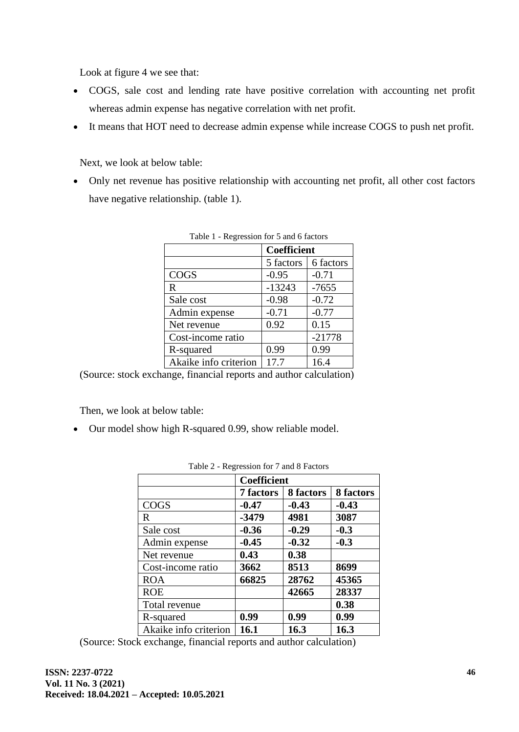Look at figure 4 we see that:

- COGS, sale cost and lending rate have positive correlation with accounting net profit whereas admin expense has negative correlation with net profit.
- It means that HOT need to decrease admin expense while increase COGS to push net profit.

Next, we look at below table:

• Only net revenue has positive relationship with accounting net profit, all other cost factors have negative relationship. (table 1).

|                       | Coefficient |               |  |
|-----------------------|-------------|---------------|--|
|                       | 5 factors   | 6 factors     |  |
| COGS                  | $-0.95$     | $-0.71$       |  |
| R                     | $-13243$    | $-7655$       |  |
| Sale cost             | $-0.98$     | $-0.72$       |  |
| Admin expense         | $-0.71$     | $-0.77$       |  |
| Net revenue           | 0.92        | 0.15          |  |
| Cost-income ratio     |             | $-21778$      |  |
| R-squared             | 0.99        | 0.99          |  |
| Akaike info criterion | 17.7        | 16.4          |  |
| $\sim$                | . .         | $\sim$ $\sim$ |  |

(Source: stock exchange, financial reports and author calculation)

Then, we look at below table:

• Our model show high R-squared 0.99, show reliable model.

|                       | <b>Coefficient</b> |           |           |
|-----------------------|--------------------|-----------|-----------|
|                       | 7 factors          | 8 factors | 8 factors |
| <b>COGS</b>           | $-0.47$            | $-0.43$   | $-0.43$   |
| R                     | $-3479$            | 4981      | 3087      |
| Sale cost             | $-0.36$            | $-0.29$   | $-0.3$    |
| Admin expense         | $-0.45$            | $-0.32$   | $-0.3$    |
| Net revenue           | 0.43               | 0.38      |           |
| Cost-income ratio     | 3662               | 8513      | 8699      |
| <b>ROA</b>            | 66825              | 28762     | 45365     |
| <b>ROE</b>            |                    | 42665     | 28337     |
| Total revenue         |                    |           | 0.38      |
| R-squared             | 0.99               | 0.99      | 0.99      |
| Akaike info criterion | 16.1               | 16.3      | 16.3      |

| Table 2 - Regression for 7 and 8 Factors |  |
|------------------------------------------|--|
|------------------------------------------|--|

(Source: Stock exchange, financial reports and author calculation)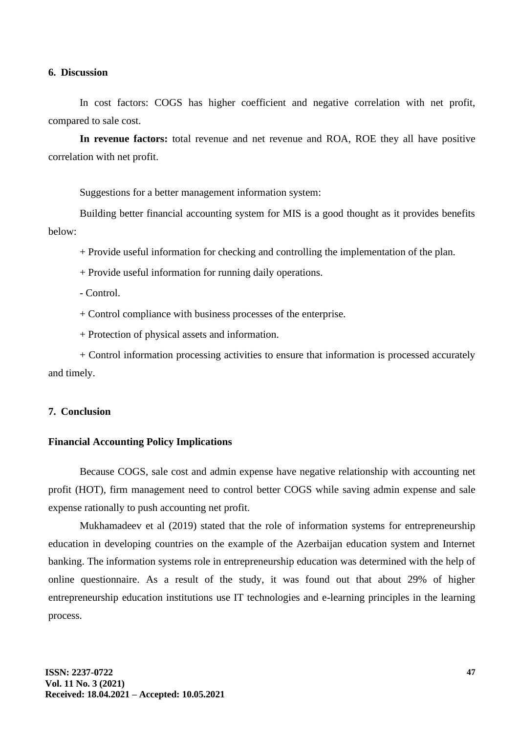#### **6. Discussion**

In cost factors: COGS has higher coefficient and negative correlation with net profit, compared to sale cost.

**In revenue factors:** total revenue and net revenue and ROA, ROE they all have positive correlation with net profit.

Suggestions for a better management information system:

Building better financial accounting system for MIS is a good thought as it provides benefits below:

+ Provide useful information for checking and controlling the implementation of the plan.

+ Provide useful information for running daily operations.

- Control.

+ Control compliance with business processes of the enterprise.

+ Protection of physical assets and information.

+ Control information processing activities to ensure that information is processed accurately and timely.

#### **7. Conclusion**

#### **Financial Accounting Policy Implications**

Because COGS, sale cost and admin expense have negative relationship with accounting net profit (HOT), firm management need to control better COGS while saving admin expense and sale expense rationally to push accounting net profit.

Mukhamadeev et al (2019) stated that the role of information systems for entrepreneurship education in developing countries on the example of the Azerbaijan education system and Internet banking. The information systems role in entrepreneurship education was determined with the help of online questionnaire. As a result of the study, it was found out that about 29% of higher entrepreneurship education institutions use IT technologies and e-learning principles in the learning process.